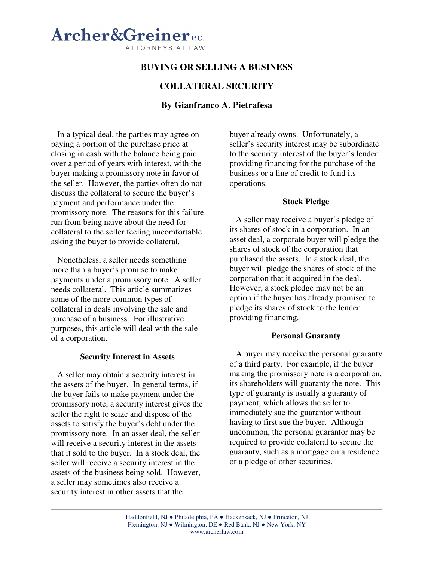# **Archer&Greiner**<sub>EG</sub> ATTORNEYS AT LAW

## **BUYING OR SELLING A BUSINESS**

## **COLLATERAL SECURITY**

## **By Gianfranco A. Pietrafesa**

In a typical deal, the parties may agree on paying a portion of the purchase price at closing in cash with the balance being paid over a period of years with interest, with the buyer making a promissory note in favor of the seller. However, the parties often do not discuss the collateral to secure the buyer's payment and performance under the promissory note. The reasons for this failure run from being naïve about the need for collateral to the seller feeling uncomfortable asking the buyer to provide collateral.

Nonetheless, a seller needs something more than a buyer's promise to make payments under a promissory note. A seller needs collateral. This article summarizes some of the more common types of collateral in deals involving the sale and purchase of a business. For illustrative purposes, this article will deal with the sale of a corporation.

### **Security Interest in Assets**

A seller may obtain a security interest in the assets of the buyer. In general terms, if the buyer fails to make payment under the promissory note, a security interest gives the seller the right to seize and dispose of the assets to satisfy the buyer's debt under the promissory note. In an asset deal, the seller will receive a security interest in the assets that it sold to the buyer. In a stock deal, the seller will receive a security interest in the assets of the business being sold. However, a seller may sometimes also receive a security interest in other assets that the

buyer already owns. Unfortunately, a seller's security interest may be subordinate to the security interest of the buyer's lender providing financing for the purchase of the business or a line of credit to fund its operations.

### **Stock Pledge**

A seller may receive a buyer's pledge of its shares of stock in a corporation. In an asset deal, a corporate buyer will pledge the shares of stock of the corporation that purchased the assets. In a stock deal, the buyer will pledge the shares of stock of the corporation that it acquired in the deal. However, a stock pledge may not be an option if the buyer has already promised to pledge its shares of stock to the lender providing financing.

### **Personal Guaranty**

A buyer may receive the personal guaranty of a third party. For example, if the buyer making the promissory note is a corporation, its shareholders will guaranty the note. This type of guaranty is usually a guaranty of payment, which allows the seller to immediately sue the guarantor without having to first sue the buyer. Although uncommon, the personal guarantor may be required to provide collateral to secure the guaranty, such as a mortgage on a residence or a pledge of other securities.